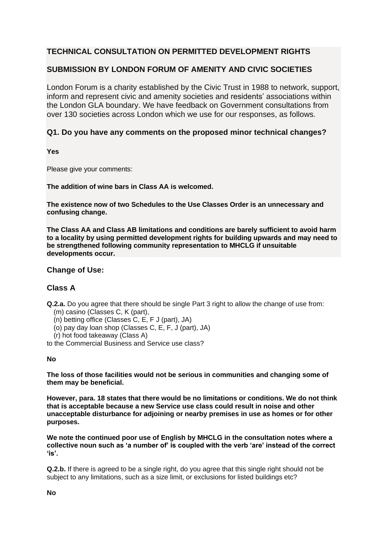# **TECHNICAL CONSULTATION ON PERMITTED DEVELOPMENT RIGHTS**

## **SUBMISSION BY LONDON FORUM OF AMENITY AND CIVIC SOCIETIES**

London Forum is a charity established by the Civic Trust in 1988 to network, support, inform and represent civic and amenity societies and residents' associations within the London GLA boundary. We have feedback on Government consultations from over 130 societies across London which we use for our responses, as follows.

## **Q1. Do you have any comments on the proposed minor technical changes?**

**Yes**

Please give your comments:

**The addition of wine bars in Class AA is welcomed.**

**The existence now of two Schedules to the Use Classes Order is an unnecessary and confusing change.**

**The Class AA and Class AB limitations and conditions are barely sufficient to avoid harm to a locality by using permitted development rights for building upwards and may need to be strengthened following community representation to MHCLG if unsuitable developments occur.**

## **Change of Use:**

## **Class A**

**Q.2.a.** Do you agree that there should be single Part 3 right to allow the change of use from:

- (m) casino (Classes C, K (part),
- (n) betting office (Classes C, E, F J (part), JA)
- (o) pay day loan shop (Classes C, E, F, J (part), JA)
- (r) hot food takeaway (Class A)
- to the Commercial Business and Service use class?

## **No**

**The loss of those facilities would not be serious in communities and changing some of them may be beneficial.**

**However, para. 18 states that there would be no limitations or conditions. We do not think that is acceptable because a new Service use class could result in noise and other unacceptable disturbance for adjoining or nearby premises in use as homes or for other purposes.**

**We note the continued poor use of English by MHCLG in the consultation notes where a collective noun such as 'a number of' is coupled with the verb 'are' instead of the correct 'is'.**

**Q.2.b.** If there is agreed to be a single right, do you agree that this single right should not be subject to any limitations, such as a size limit, or exclusions for listed buildings etc?

**No**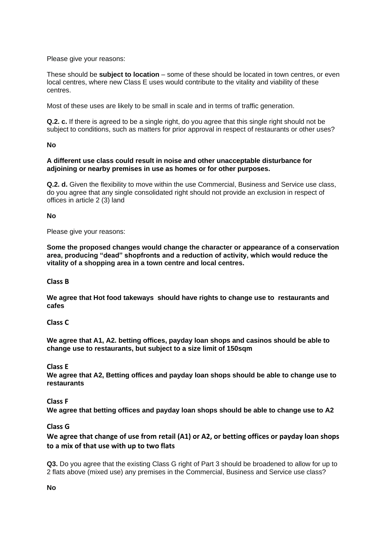Please give your reasons:

These should be **subject to location** – some of these should be located in town centres, or even local centres, where new Class E uses would contribute to the vitality and viability of these centres.

Most of these uses are likely to be small in scale and in terms of traffic generation.

**Q.2. c.** If there is agreed to be a single right, do you agree that this single right should not be subject to conditions, such as matters for prior approval in respect of restaurants or other uses?

**No**

#### **A different use class could result in noise and other unacceptable disturbance for adjoining or nearby premises in use as homes or for other purposes.**

**Q.2. d.** Given the flexibility to move within the use Commercial, Business and Service use class, do you agree that any single consolidated right should not provide an exclusion in respect of offices in article 2 (3) land

**No**

Please give your reasons:

**Some the proposed changes would change the character or appearance of a conservation area, producing "dead" shopfronts and a reduction of activity, which would reduce the vitality of a shopping area in a town centre and local centres.**

**Class B**

**We agree that Hot food takeways should have rights to change use to restaurants and cafes**

**Class C**

**We agree that A1, A2. betting offices, payday loan shops and casinos should be able to change use to restaurants, but subject to a size limit of 150sqm**

**Class E**

**We agree that A2, Betting offices and payday loan shops should be able to change use to restaurants**

## **Class F**

**We agree that betting offices and payday loan shops should be able to change use to A2**

## **Class G**

**We agree that change of use from retail (A1) or A2, or betting offices or payday loan shops to a mix of that use with up to two flats**

**Q3.** Do you agree that the existing Class G right of Part 3 should be broadened to allow for up to 2 flats above (mixed use) any premises in the Commercial, Business and Service use class?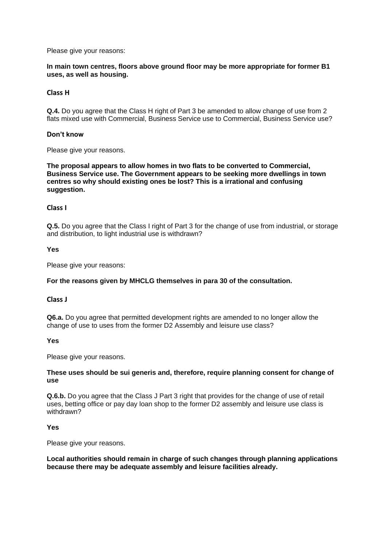#### Please give your reasons:

## **In main town centres, floors above ground floor may be more appropriate for former B1 uses, as well as housing.**

## **Class H**

**Q.4.** Do you agree that the Class H right of Part 3 be amended to allow change of use from 2 flats mixed use with Commercial, Business Service use to Commercial, Business Service use?

#### **Don't know**

Please give your reasons.

**The proposal appears to allow homes in two flats to be converted to Commercial, Business Service use. The Government appears to be seeking more dwellings in town centres so why should existing ones be lost? This is a irrational and confusing suggestion.**

#### **Class I**

**Q.5.** Do you agree that the Class I right of Part 3 for the change of use from industrial, or storage and distribution, to light industrial use is withdrawn?

#### **Yes**

Please give your reasons:

## **For the reasons given by MHCLG themselves in para 30 of the consultation.**

#### **Class J**

**Q6.a.** Do you agree that permitted development rights are amended to no longer allow the change of use to uses from the former D2 Assembly and leisure use class?

#### **Yes**

Please give your reasons.

#### **These uses should be sui generis and, therefore, require planning consent for change of use**

**Q.6.b.** Do you agree that the Class J Part 3 right that provides for the change of use of retail uses, betting office or pay day loan shop to the former D2 assembly and leisure use class is withdrawn?

## **Yes**

Please give your reasons.

**Local authorities should remain in charge of such changes through planning applications because there may be adequate assembly and leisure facilities already.**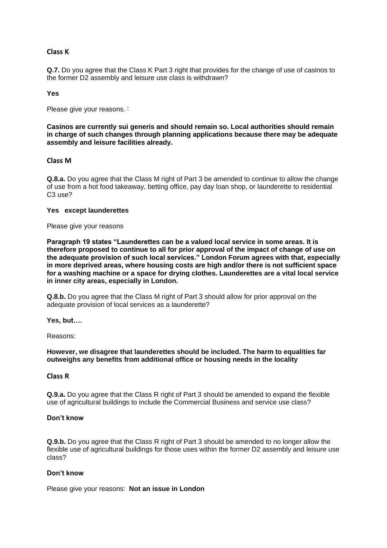## **Class K**

**Q.7.** Do you agree that the Class K Part 3 right that provides for the change of use of casinos to the former D2 assembly and leisure use class is withdrawn?

#### **Yes**

Please give your reasons.  $\pm$ 

**Casinos are currently sui generis and should remain so. Local authorities should remain in charge of such changes through planning applications because there may be adequate assembly and leisure facilities already.**

## **Class M**

**Q.8.a.** Do you agree that the Class M right of Part 3 be amended to continue to allow the change of use from a hot food takeaway, betting office, pay day loan shop, or launderette to residential C3 use?

#### **Yes except launderettes**

Please give your reasons

**Paragraph 19 states "Launderettes can be a valued local service in some areas. It is therefore proposed to continue to all for prior approval of the impact of change of use on the adequate provision of such local services." London Forum agrees with that, especially in more deprived areas, where housing costs are high and/or there is not sufficient space for a washing machine or a space for drying clothes. Launderettes are a vital local service in inner city areas, especially in London.** 

**Q.8.b.** Do you agree that the Class M right of Part 3 should allow for prior approval on the adequate provision of local services as a launderette?

**Yes, but….** 

Reasons:

**However, we disagree that launderettes should be included. The harm to equalities far outweighs any benefits from additional office or housing needs in the locality** 

## **Class R**

**Q.9.a.** Do you agree that the Class R right of Part 3 should be amended to expand the flexible use of agricultural buildings to include the Commercial Business and service use class?

#### **Don't know**

**Q.9.b.** Do you agree that the Class R right of Part 3 should be amended to no longer allow the flexible use of agricultural buildings for those uses within the former D2 assembly and leisure use class?

## **Don't know**

Please give your reasons: **Not an issue in London**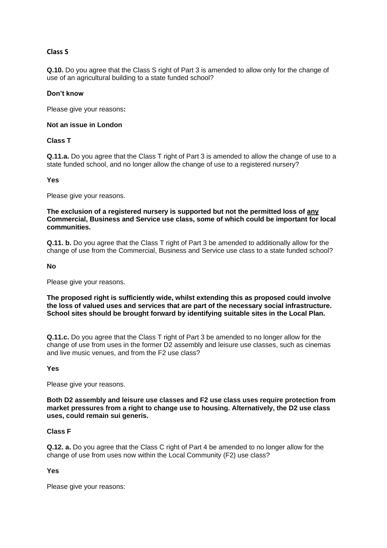## **Class S**

**Q.10.** Do you agree that the Class S right of Part 3 is amended to allow only for the change of use of an agricultural building to a state funded school?

## **Don't know**

Please give your reasons**:** 

#### **Not an issue in London**

## **Class T**

**Q.11.a.** Do you agree that the Class T right of Part 3 is amended to allow the change of use to a state funded school, and no longer allow the change of use to a registered nursery?

#### **Yes**

Please give your reasons.

**The exclusion of a registered nursery is supported but not the permitted loss of any Commercial, Business and Service use class, some of which could be important for local communities.**

**Q.11. b.** Do you agree that the Class T right of Part 3 be amended to additionally allow for the change of use from the Commercial, Business and Service use class to a state funded school?

#### **No**

Please give your reasons.

**The proposed right is sufficiently wide, whilst extending this as proposed could involve the loss of valued uses and services that are part of the necessary social infrastructure. School sites should be brought forward by identifying suitable sites in the Local Plan.**

**Q.11.c.** Do you agree that the Class T right of Part 3 be amended to no longer allow for the change of use from uses in the former D2 assembly and leisure use classes, such as cinemas and live music venues, and from the F2 use class?

#### **Yes**

Please give your reasons.

**Both D2 assembly and leisure use classes and F2 use class uses require protection from market pressures from a right to change use to housing. Alternatively, the D2 use class uses, could remain sui generis.**

## **Class F**

**Q.12. a.** Do you agree that the Class C right of Part 4 be amended to no longer allow for the change of use from uses now within the Local Community (F2) use class?

## **Yes**

Please give your reasons: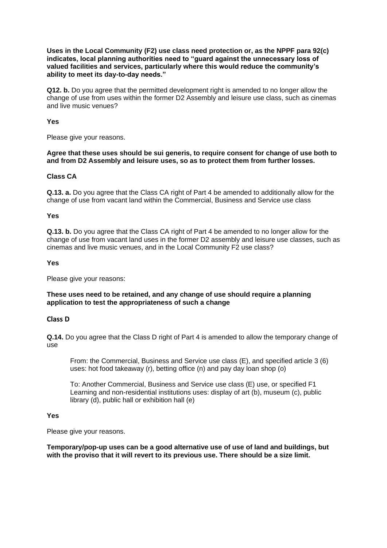**Uses in the Local Community (F2) use class need protection or, as the NPPF para 92(c) indicates, local planning authorities need to "guard against the unnecessary loss of valued facilities and services, particularly where this would reduce the community's ability to meet its day-to-day needs."**

**Q12. b.** Do you agree that the permitted development right is amended to no longer allow the change of use from uses within the former D2 Assembly and leisure use class, such as cinemas and live music venues?

#### **Yes**

Please give your reasons.

## **Agree that these uses should be sui generis, to require consent for change of use both to and from D2 Assembly and leisure uses, so as to protect them from further losses.**

## **Class CA**

**Q.13. a.** Do you agree that the Class CA right of Part 4 be amended to additionally allow for the change of use from vacant land within the Commercial, Business and Service use class

#### **Yes**

**Q.13. b.** Do you agree that the Class CA right of Part 4 be amended to no longer allow for the change of use from vacant land uses in the former D2 assembly and leisure use classes, such as cinemas and live music venues, and in the Local Community F2 use class?

#### **Yes**

Please give your reasons:

## **These uses need to be retained, and any change of use should require a planning application to test the appropriateness of such a change**

## **Class D**

**Q.14.** Do you agree that the Class D right of Part 4 is amended to allow the temporary change of use

From: the Commercial, Business and Service use class (E), and specified article 3 (6) uses: hot food takeaway (r), betting office (n) and pay day loan shop (o)

To: Another Commercial, Business and Service use class (E) use, or specified F1 Learning and non-residential institutions uses: display of art (b), museum (c), public library (d), public hall or exhibition hall (e)

## **Yes**

Please give your reasons.

#### **Temporary/pop-up uses can be a good alternative use of use of land and buildings, but with the proviso that it will revert to its previous use. There should be a size limit.**